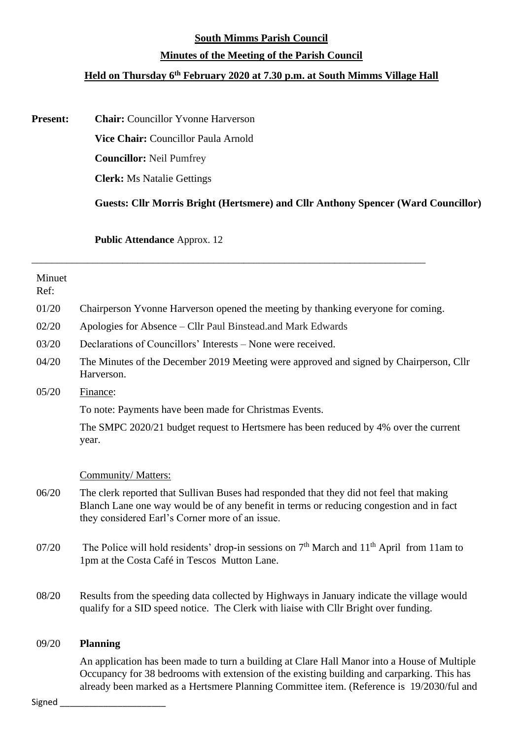### **South Mimms Parish Council**

## **Minutes of the Meeting of the Parish Council**

# **Held on Thursday 6 th February 2020 at 7.30 p.m. at South Mimms Village Hall**

**Present: Chair:** Councillor Yvonne Harverson

**Vice Chair:** Councillor Paula Arnold

**Councillor:** Neil Pumfrey

**Clerk:** Ms Natalie Gettings

**Guests: Cllr Morris Bright (Hertsmere) and Cllr Anthony Spencer (Ward Councillor)**

**Public Attendance** Approx. 12

| Minuet<br>Ref: |                                                                                                                                                                                                                                       |
|----------------|---------------------------------------------------------------------------------------------------------------------------------------------------------------------------------------------------------------------------------------|
| 01/20          | Chairperson Yvonne Harverson opened the meeting by thanking everyone for coming.                                                                                                                                                      |
| 02/20          | Apologies for Absence – Cllr Paul Binstead.and Mark Edwards                                                                                                                                                                           |
| 03/20          | Declarations of Councillors' Interests – None were received.                                                                                                                                                                          |
| 04/20          | The Minutes of the December 2019 Meeting were approved and signed by Chairperson, Cllr<br>Harverson.                                                                                                                                  |
| 05/20          | Finance:                                                                                                                                                                                                                              |
|                | To note: Payments have been made for Christmas Events.                                                                                                                                                                                |
|                | The SMPC 2020/21 budget request to Hertsmere has been reduced by 4% over the current<br>year.                                                                                                                                         |
|                |                                                                                                                                                                                                                                       |
|                | Community/Matters:                                                                                                                                                                                                                    |
| 06/20          | The clerk reported that Sullivan Buses had responded that they did not feel that making<br>Blanch Lane one way would be of any benefit in terms or reducing congestion and in fact<br>they considered Earl's Corner more of an issue. |
| 07/20          | The Police will hold residents' drop-in sessions on $7th$ March and $11th$ April from 11am to<br>1pm at the Costa Café in Tescos Mutton Lane.                                                                                         |
| 08/20          | Results from the speeding data collected by Highways in January indicate the village would<br>qualify for a SID speed notice. The Clerk with liaise with Cllr Bright over funding.                                                    |
| 09/20          | <b>Planning</b>                                                                                                                                                                                                                       |
|                | An application has been made to turn a building at Clare Hall Manor into a House of Multiple<br>Company for 20 hodrograms with outonsign of the ovising building and compating This base                                              |

\_\_\_\_\_\_\_\_\_\_\_\_\_\_\_\_\_\_\_\_\_\_\_\_\_\_\_\_\_\_\_\_\_\_\_\_\_\_\_\_\_\_\_\_\_\_\_\_\_\_\_\_\_\_\_\_\_\_\_\_\_\_\_\_\_\_\_\_\_\_\_\_\_\_\_\_\_\_

Occupancy for 38 bedrooms with extension of the existing building and carparking. This has already been marked as a Hertsmere Planning Committee item. (Reference is 19/2030/ful and